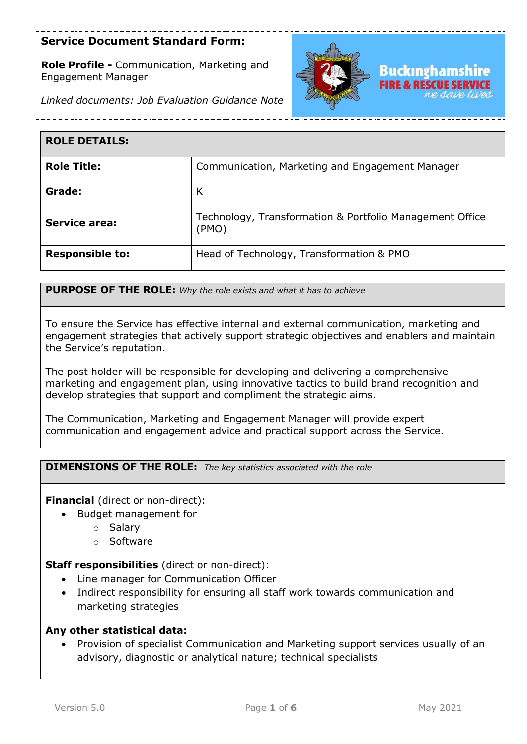**Role Profile -** Communication, Marketing and Engagement Manager



*Linked documents: Job Evaluation Guidance Note*

| <b>ROLE DETAILS:</b>   |                                                                   |
|------------------------|-------------------------------------------------------------------|
| <b>Role Title:</b>     | Communication, Marketing and Engagement Manager                   |
| Grade:                 | К                                                                 |
| <b>Service area:</b>   | Technology, Transformation & Portfolio Management Office<br>(PMO) |
| <b>Responsible to:</b> | Head of Technology, Transformation & PMO                          |

**PURPOSE OF THE ROLE:** *Why the role exists and what it has to achieve* 

To ensure the Service has effective internal and external communication, marketing and engagement strategies that actively support strategic objectives and enablers and maintain the Service's reputation.

The post holder will be responsible for developing and delivering a comprehensive marketing and engagement plan, using innovative tactics to build brand recognition and develop strategies that support and compliment the strategic aims.

The Communication, Marketing and Engagement Manager will provide expert communication and engagement advice and practical support across the Service.

**DIMENSIONS OF THE ROLE:** *The key statistics associated with the role*

**Financial** (direct or non-direct):

- Budget management for
	- o Salary
	- o Software

**Staff responsibilities** (direct or non-direct):

- Line manager for Communication Officer
- Indirect responsibility for ensuring all staff work towards communication and marketing strategies

#### **Any other statistical data:**

• Provision of specialist Communication and Marketing support services usually of an advisory, diagnostic or analytical nature; technical specialists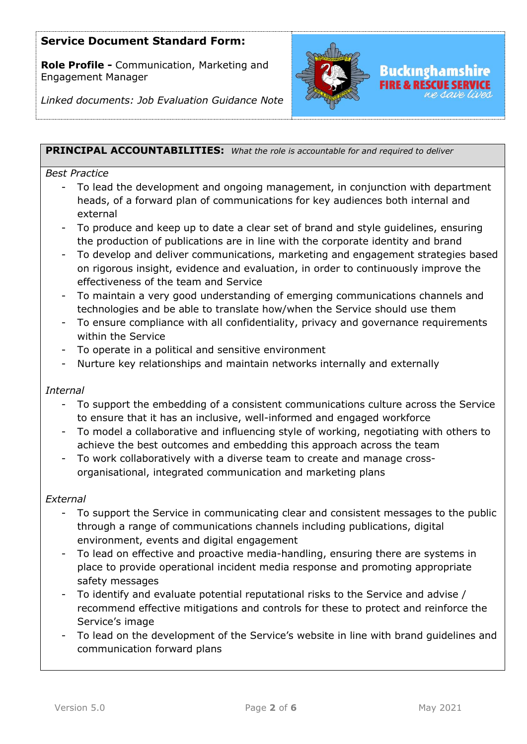**Role Profile -** Communication, Marketing and Engagement Manager



*Linked documents: Job Evaluation Guidance Note*

## **PRINCIPAL ACCOUNTABILITIES:** *What the role is accountable for and required to deliver*

#### *Best Practice*

- To lead the development and ongoing management, in conjunction with department heads, of a forward plan of communications for key audiences both internal and external
- To produce and keep up to date a clear set of brand and style guidelines, ensuring the production of publications are in line with the corporate identity and brand
- To develop and deliver communications, marketing and engagement strategies based on rigorous insight, evidence and evaluation, in order to continuously improve the effectiveness of the team and Service
- To maintain a very good understanding of emerging communications channels and technologies and be able to translate how/when the Service should use them
- To ensure compliance with all confidentiality, privacy and governance requirements within the Service
- To operate in a political and sensitive environment
- Nurture key relationships and maintain networks internally and externally

#### *Internal*

- To support the embedding of a consistent communications culture across the Service to ensure that it has an inclusive, well-informed and engaged workforce
- To model a collaborative and influencing style of working, negotiating with others to achieve the best outcomes and embedding this approach across the team
- To work collaboratively with a diverse team to create and manage crossorganisational, integrated communication and marketing plans

#### *External*

- To support the Service in communicating clear and consistent messages to the public through a range of communications channels including publications, digital environment, events and digital engagement
- To lead on effective and proactive media-handling, ensuring there are systems in place to provide operational incident media response and promoting appropriate safety messages
- To identify and evaluate potential reputational risks to the Service and advise / recommend effective mitigations and controls for these to protect and reinforce the Service's image
- To lead on the development of the Service's website in line with brand guidelines and communication forward plans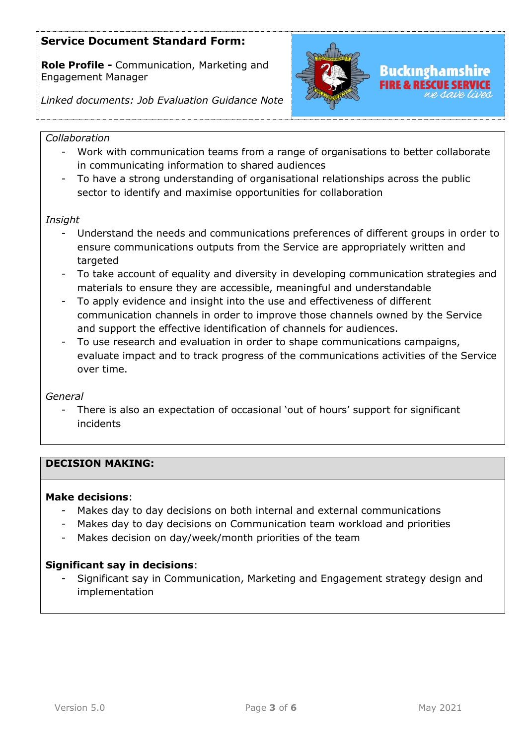**Role Profile -** Communication, Marketing and Engagement Manager



*Linked documents: Job Evaluation Guidance Note*

## *Collaboration*

- Work with communication teams from a range of organisations to better collaborate in communicating information to shared audiences
- To have a strong understanding of organisational relationships across the public sector to identify and maximise opportunities for collaboration

### *Insight*

- Understand the needs and communications preferences of different groups in order to ensure communications outputs from the Service are appropriately written and targeted
- To take account of equality and diversity in developing communication strategies and materials to ensure they are accessible, meaningful and understandable
- To apply evidence and insight into the use and effectiveness of different communication channels in order to improve those channels owned by the Service and support the effective identification of channels for audiences.
- To use research and evaluation in order to shape communications campaigns, evaluate impact and to track progress of the communications activities of the Service over time.

## *General*

There is also an expectation of occasional 'out of hours' support for significant incidents

## **DECISION MAKING:**

#### **Make decisions**:

- Makes day to day decisions on both internal and external communications
- Makes day to day decisions on Communication team workload and priorities
- Makes decision on day/week/month priorities of the team

## **Significant say in decisions**:

- Significant say in Communication, Marketing and Engagement strategy design and implementation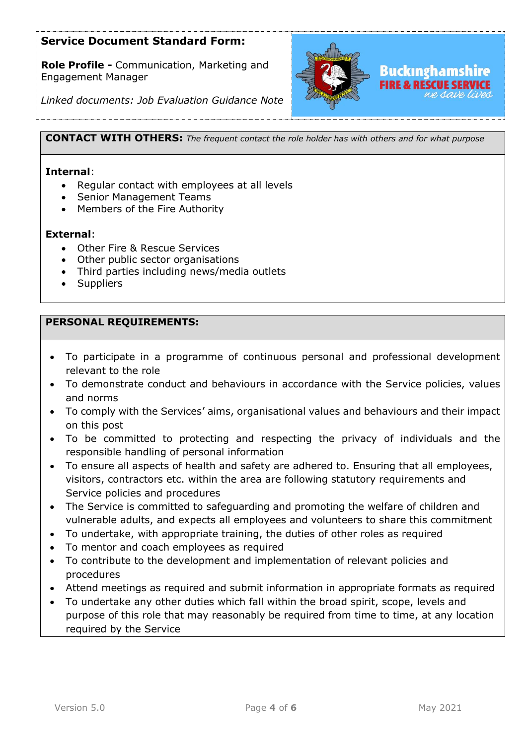**Role Profile -** Communication, Marketing and Engagement Manager



*Linked documents: Job Evaluation Guidance Note*

**CONTACT WITH OTHERS:** *The frequent contact the role holder has with others and for what purpose* 

#### **Internal**:

- Regular contact with employees at all levels
- Senior Management Teams
- Members of the Fire Authority

#### **External**:

- Other Fire & Rescue Services
- Other public sector organisations
- Third parties including news/media outlets
- **Suppliers**

## **PERSONAL REQUIREMENTS:**

- To participate in a programme of continuous personal and professional development relevant to the role
- To demonstrate conduct and behaviours in accordance with the Service policies, values and norms
- To comply with the Services' aims, organisational values and behaviours and their impact on this post
- To be committed to protecting and respecting the privacy of individuals and the responsible handling of personal information
- To ensure all aspects of health and safety are adhered to. Ensuring that all employees, visitors, contractors etc. within the area are following statutory requirements and Service policies and procedures
- The Service is committed to safeguarding and promoting the welfare of children and vulnerable adults, and expects all employees and volunteers to share this commitment
- To undertake, with appropriate training, the duties of other roles as required
- To mentor and coach employees as required
- To contribute to the development and implementation of relevant policies and procedures
- Attend meetings as required and submit information in appropriate formats as required
- To undertake any other duties which fall within the broad spirit, scope, levels and purpose of this role that may reasonably be required from time to time, at any location required by the Service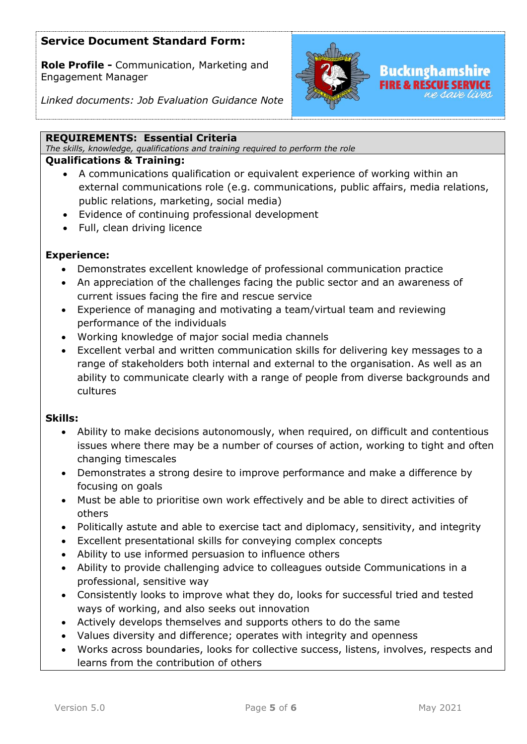**Role Profile -** Communication, Marketing and Engagement Manager



*Linked documents: Job Evaluation Guidance Note*

#### **REQUIREMENTS: Essential Criteria**

*The skills, knowledge, qualifications and training required to perform the role*

## **Qualifications & Training:**

- A communications qualification or equivalent experience of working within an external communications role (e.g. communications, public affairs, media relations, public relations, marketing, social media)
- Evidence of continuing professional development
- Full, clean driving licence

## **Experience:**

- Demonstrates excellent knowledge of professional communication practice
- An appreciation of the challenges facing the public sector and an awareness of current issues facing the fire and rescue service
- Experience of managing and motivating a team/virtual team and reviewing performance of the individuals
- Working knowledge of major social media channels
- Excellent verbal and written communication skills for delivering key messages to a range of stakeholders both internal and external to the organisation. As well as an ability to communicate clearly with a range of people from diverse backgrounds and cultures

#### **Skills:**

- Ability to make decisions autonomously, when required, on difficult and contentious issues where there may be a number of courses of action, working to tight and often changing timescales
- Demonstrates a strong desire to improve performance and make a difference by focusing on goals
- Must be able to prioritise own work effectively and be able to direct activities of others
- Politically astute and able to exercise tact and diplomacy, sensitivity, and integrity
- Excellent presentational skills for conveying complex concepts
- Ability to use informed persuasion to influence others
- Ability to provide challenging advice to colleagues outside Communications in a professional, sensitive way
- Consistently looks to improve what they do, looks for successful tried and tested ways of working, and also seeks out innovation
- Actively develops themselves and supports others to do the same
- Values diversity and difference; operates with integrity and openness
- Works across boundaries, looks for collective success, listens, involves, respects and learns from the contribution of others